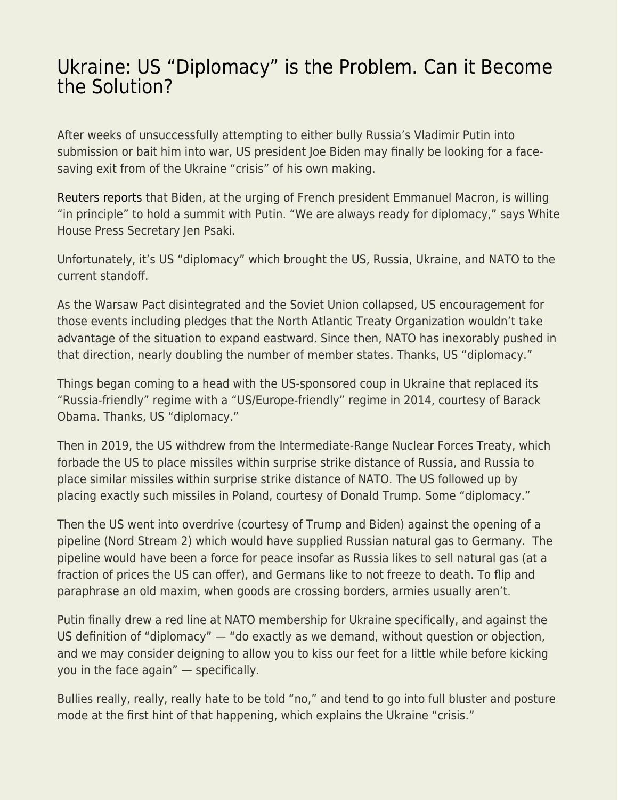## [Ukraine: US "Diplomacy" is the Problem. Can it Become](https://everything-voluntary.com/ukraine-us-diplomacy-is-the-problem-can-it-become-the-solution) [the Solution?](https://everything-voluntary.com/ukraine-us-diplomacy-is-the-problem-can-it-become-the-solution)

After weeks of unsuccessfully attempting to either bully Russia's Vladimir Putin into submission or bait him into war, US president Joe Biden may finally be looking for a facesaving exit from of the Ukraine "crisis" of his own making.

[Reuters reports](https://www.reuters.com/world/europe/ukraine-temporarily-closes-checkpoint-donbass-due-shelling-2022-02-20/) that Biden, at the urging of French president Emmanuel Macron, is willing "in principle" to hold a summit with Putin. "We are always ready for diplomacy," says White House Press Secretary Jen Psaki.

Unfortunately, it's US "diplomacy" which brought the US, Russia, Ukraine, and NATO to the current standoff.

As the Warsaw Pact disintegrated and the Soviet Union collapsed, US encouragement for those events including pledges that the North Atlantic Treaty Organization wouldn't take advantage of the situation to expand eastward. Since then, NATO has inexorably pushed in that direction, nearly doubling the number of member states. Thanks, US "diplomacy."

Things began coming to a head with the US-sponsored coup in Ukraine that replaced its "Russia-friendly" regime with a "US/Europe-friendly" regime in 2014, courtesy of Barack Obama. Thanks, US "diplomacy."

Then in 2019, the US withdrew from the Intermediate-Range Nuclear Forces Treaty, which forbade the US to place missiles within surprise strike distance of Russia, and Russia to place similar missiles within surprise strike distance of NATO. The US followed up by placing exactly such missiles in Poland, courtesy of Donald Trump. Some "diplomacy."

Then the US went into overdrive (courtesy of Trump and Biden) against the opening of a pipeline (Nord Stream 2) which would have supplied Russian natural gas to Germany. The pipeline would have been a force for peace insofar as Russia likes to sell natural gas (at a fraction of prices the US can offer), and Germans like to not freeze to death. To flip and paraphrase an old maxim, when goods are crossing borders, armies usually aren't.

Putin finally drew a red line at NATO membership for Ukraine specifically, and against the US definition of "diplomacy" — "do exactly as we demand, without question or objection, and we may consider deigning to allow you to kiss our feet for a little while before kicking you in the face again" — specifically.

Bullies really, really, really hate to be told "no," and tend to go into full bluster and posture mode at the first hint of that happening, which explains the Ukraine "crisis."